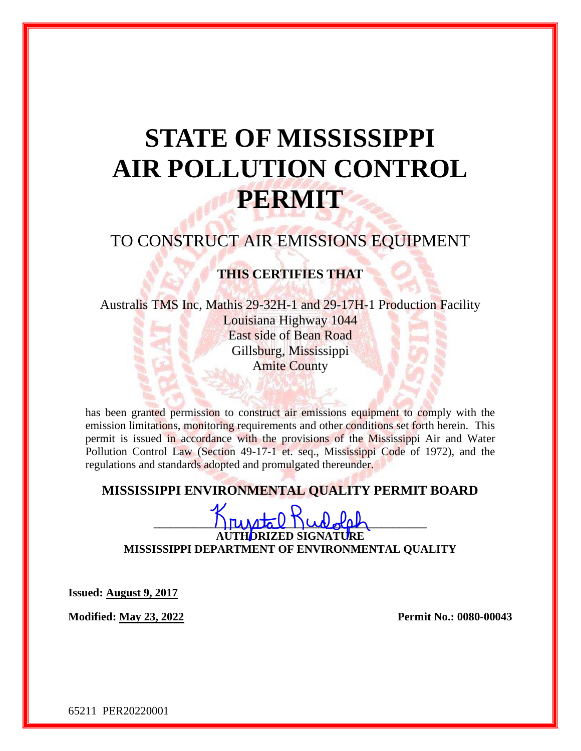# **STATE OF MISSISSIPPI AIR POLLUTION CONTROL PERMIT**

# TO CONSTRUCT AIR EMISSIONS EQUIPMENT

## **THIS CERTIFIES THAT**

Australis TMS Inc, Mathis 29-32H-1 and 29-17H-1 Production Facility Louisiana Highway 1044 East side of Bean Road Gillsburg, Mississippi Amite County

has been granted permission to construct air emissions equipment to comply with the emission limitations, monitoring requirements and other conditions set forth herein. This permit is issued in accordance with the provisions of the Mississippi Air and Water Pollution Control Law (Section 49-17-1 et. seq., Mississippi Code of 1972), and the regulations and standards adopted and promulgated thereunder.

## **MISSISSIPPI ENVIRONMENTAL QUALITY PERMIT BOARD**

 $\Box$   $\Box$   $\Box$   $\Box$   $\Box$   $\Box$   $\Box$ **AUTHORIZED SIGNATURE MISSISSIPPI DEPARTMENT OF ENVIRONMENTAL QUALITY**

**Issued: August 9, 2017**

**Modified: May 23, 2022 Permit No.: 0080-00043**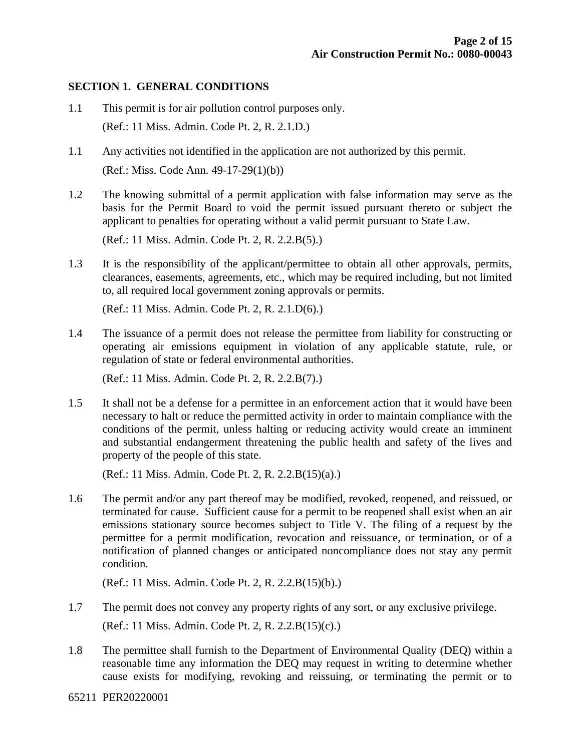#### **SECTION 1. GENERAL CONDITIONS**

- 1.1 This permit is for air pollution control purposes only. (Ref.: 11 Miss. Admin. Code Pt. 2, R. 2.1.D.)
- 1.1 Any activities not identified in the application are not authorized by this permit. (Ref.: Miss. Code Ann. 49-17-29(1)(b))
- 1.2 The knowing submittal of a permit application with false information may serve as the basis for the Permit Board to void the permit issued pursuant thereto or subject the applicant to penalties for operating without a valid permit pursuant to State Law.

(Ref.: 11 Miss. Admin. Code Pt. 2, R. 2.2.B(5).)

1.3 It is the responsibility of the applicant/permittee to obtain all other approvals, permits, clearances, easements, agreements, etc., which may be required including, but not limited to, all required local government zoning approvals or permits.

(Ref.: 11 Miss. Admin. Code Pt. 2, R. 2.1.D(6).)

1.4 The issuance of a permit does not release the permittee from liability for constructing or operating air emissions equipment in violation of any applicable statute, rule, or regulation of state or federal environmental authorities.

(Ref.: 11 Miss. Admin. Code Pt. 2, R. 2.2.B(7).)

1.5 It shall not be a defense for a permittee in an enforcement action that it would have been necessary to halt or reduce the permitted activity in order to maintain compliance with the conditions of the permit, unless halting or reducing activity would create an imminent and substantial endangerment threatening the public health and safety of the lives and property of the people of this state.

(Ref.: 11 Miss. Admin. Code Pt. 2, R. 2.2.B(15)(a).)

1.6 The permit and/or any part thereof may be modified, revoked, reopened, and reissued, or terminated for cause. Sufficient cause for a permit to be reopened shall exist when an air emissions stationary source becomes subject to Title V. The filing of a request by the permittee for a permit modification, revocation and reissuance, or termination, or of a notification of planned changes or anticipated noncompliance does not stay any permit condition.

(Ref.: 11 Miss. Admin. Code Pt. 2, R. 2.2.B(15)(b).)

- 1.7 The permit does not convey any property rights of any sort, or any exclusive privilege. (Ref.: 11 Miss. Admin. Code Pt. 2, R. 2.2.B(15)(c).)
- 1.8 The permittee shall furnish to the Department of Environmental Quality (DEQ) within a reasonable time any information the DEQ may request in writing to determine whether cause exists for modifying, revoking and reissuing, or terminating the permit or to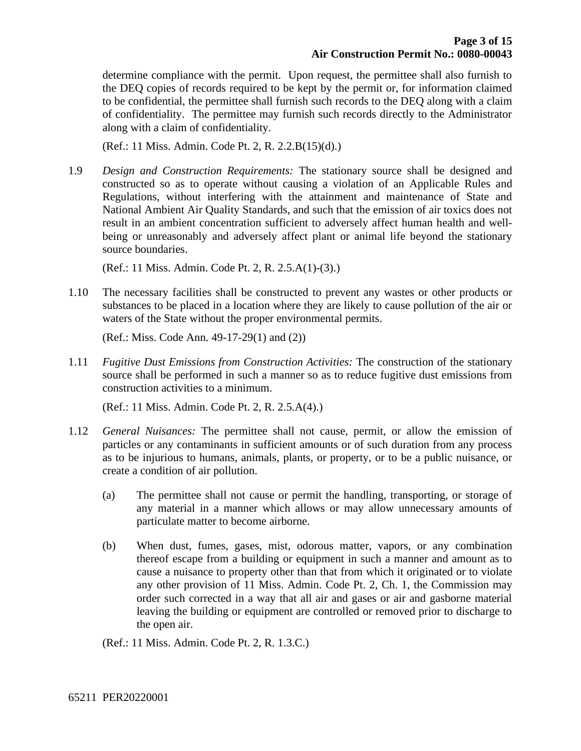determine compliance with the permit. Upon request, the permittee shall also furnish to the DEQ copies of records required to be kept by the permit or, for information claimed to be confidential, the permittee shall furnish such records to the DEQ along with a claim of confidentiality. The permittee may furnish such records directly to the Administrator along with a claim of confidentiality.

(Ref.: 11 Miss. Admin. Code Pt. 2, R. 2.2.B(15)(d).)

1.9 *Design and Construction Requirements:* The stationary source shall be designed and constructed so as to operate without causing a violation of an Applicable Rules and Regulations, without interfering with the attainment and maintenance of State and National Ambient Air Quality Standards, and such that the emission of air toxics does not result in an ambient concentration sufficient to adversely affect human health and wellbeing or unreasonably and adversely affect plant or animal life beyond the stationary source boundaries.

(Ref.: 11 Miss. Admin. Code Pt. 2, R. 2.5.A(1)-(3).)

1.10 The necessary facilities shall be constructed to prevent any wastes or other products or substances to be placed in a location where they are likely to cause pollution of the air or waters of the State without the proper environmental permits.

(Ref.: Miss. Code Ann. 49-17-29(1) and (2))

1.11 *Fugitive Dust Emissions from Construction Activities:* The construction of the stationary source shall be performed in such a manner so as to reduce fugitive dust emissions from construction activities to a minimum.

(Ref.: 11 Miss. Admin. Code Pt. 2, R. 2.5.A(4).)

- 1.12 *General Nuisances:* The permittee shall not cause, permit, or allow the emission of particles or any contaminants in sufficient amounts or of such duration from any process as to be injurious to humans, animals, plants, or property, or to be a public nuisance, or create a condition of air pollution.
	- (a) The permittee shall not cause or permit the handling, transporting, or storage of any material in a manner which allows or may allow unnecessary amounts of particulate matter to become airborne.
	- (b) When dust, fumes, gases, mist, odorous matter, vapors, or any combination thereof escape from a building or equipment in such a manner and amount as to cause a nuisance to property other than that from which it originated or to violate any other provision of 11 Miss. Admin. Code Pt. 2, Ch. 1, the Commission may order such corrected in a way that all air and gases or air and gasborne material leaving the building or equipment are controlled or removed prior to discharge to the open air.

(Ref.: 11 Miss. Admin. Code Pt. 2, R. 1.3.C.)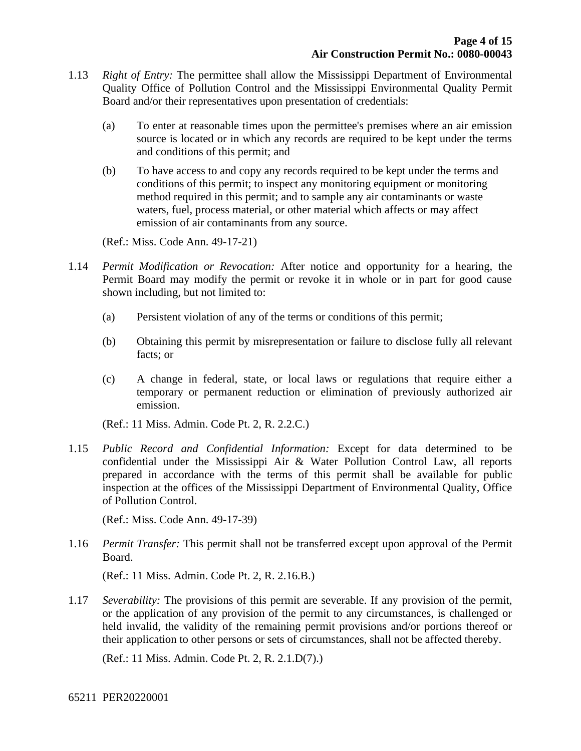- 1.13 *Right of Entry:* The permittee shall allow the Mississippi Department of Environmental Quality Office of Pollution Control and the Mississippi Environmental Quality Permit Board and/or their representatives upon presentation of credentials:
	- (a) To enter at reasonable times upon the permittee's premises where an air emission source is located or in which any records are required to be kept under the terms and conditions of this permit; and
	- (b) To have access to and copy any records required to be kept under the terms and conditions of this permit; to inspect any monitoring equipment or monitoring method required in this permit; and to sample any air contaminants or waste waters, fuel, process material, or other material which affects or may affect emission of air contaminants from any source.

(Ref.: Miss. Code Ann. 49-17-21)

- 1.14 *Permit Modification or Revocation:* After notice and opportunity for a hearing, the Permit Board may modify the permit or revoke it in whole or in part for good cause shown including, but not limited to:
	- (a) Persistent violation of any of the terms or conditions of this permit;
	- (b) Obtaining this permit by misrepresentation or failure to disclose fully all relevant facts; or
	- (c) A change in federal, state, or local laws or regulations that require either a temporary or permanent reduction or elimination of previously authorized air emission.

(Ref.: 11 Miss. Admin. Code Pt. 2, R. 2.2.C.)

1.15 *Public Record and Confidential Information:* Except for data determined to be confidential under the Mississippi Air & Water Pollution Control Law, all reports prepared in accordance with the terms of this permit shall be available for public inspection at the offices of the Mississippi Department of Environmental Quality, Office of Pollution Control.

(Ref.: Miss. Code Ann. 49-17-39)

1.16 *Permit Transfer:* This permit shall not be transferred except upon approval of the Permit Board.

(Ref.: 11 Miss. Admin. Code Pt. 2, R. 2.16.B.)

1.17 *Severability:* The provisions of this permit are severable. If any provision of the permit, or the application of any provision of the permit to any circumstances, is challenged or held invalid, the validity of the remaining permit provisions and/or portions thereof or their application to other persons or sets of circumstances, shall not be affected thereby.

(Ref.: 11 Miss. Admin. Code Pt. 2, R. 2.1.D(7).)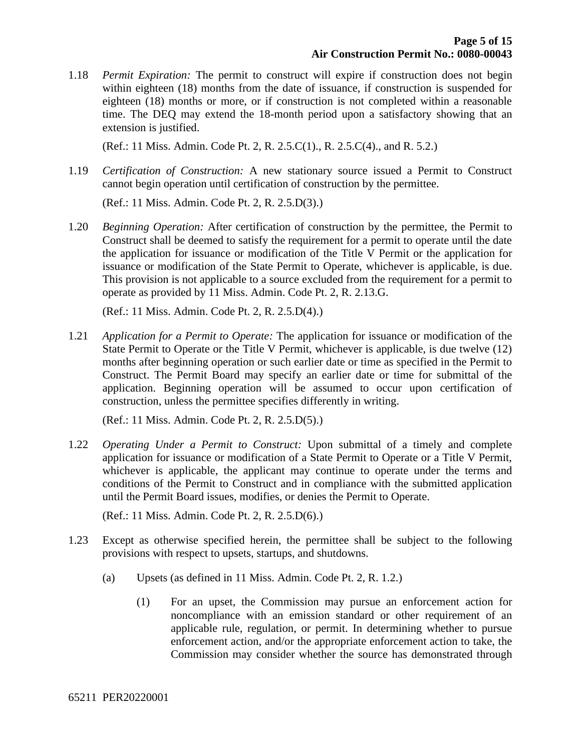1.18 *Permit Expiration:* The permit to construct will expire if construction does not begin within eighteen (18) months from the date of issuance, if construction is suspended for eighteen (18) months or more, or if construction is not completed within a reasonable time. The DEQ may extend the 18-month period upon a satisfactory showing that an extension is justified.

(Ref.: 11 Miss. Admin. Code Pt. 2, R. 2.5.C(1)., R. 2.5.C(4)., and R. 5.2.)

1.19 *Certification of Construction:* A new stationary source issued a Permit to Construct cannot begin operation until certification of construction by the permittee.

(Ref.: 11 Miss. Admin. Code Pt. 2, R. 2.5.D(3).)

1.20 *Beginning Operation:* After certification of construction by the permittee, the Permit to Construct shall be deemed to satisfy the requirement for a permit to operate until the date the application for issuance or modification of the Title V Permit or the application for issuance or modification of the State Permit to Operate, whichever is applicable, is due. This provision is not applicable to a source excluded from the requirement for a permit to operate as provided by 11 Miss. Admin. Code Pt. 2, R. 2.13.G.

(Ref.: 11 Miss. Admin. Code Pt. 2, R. 2.5.D(4).)

1.21 *Application for a Permit to Operate:* The application for issuance or modification of the State Permit to Operate or the Title V Permit, whichever is applicable, is due twelve (12) months after beginning operation or such earlier date or time as specified in the Permit to Construct. The Permit Board may specify an earlier date or time for submittal of the application. Beginning operation will be assumed to occur upon certification of construction, unless the permittee specifies differently in writing.

(Ref.: 11 Miss. Admin. Code Pt. 2, R. 2.5.D(5).)

1.22 *Operating Under a Permit to Construct:* Upon submittal of a timely and complete application for issuance or modification of a State Permit to Operate or a Title V Permit, whichever is applicable, the applicant may continue to operate under the terms and conditions of the Permit to Construct and in compliance with the submitted application until the Permit Board issues, modifies, or denies the Permit to Operate.

(Ref.: 11 Miss. Admin. Code Pt. 2, R. 2.5.D(6).)

- 1.23 Except as otherwise specified herein, the permittee shall be subject to the following provisions with respect to upsets, startups, and shutdowns.
	- (a) Upsets (as defined in 11 Miss. Admin. Code Pt. 2, R. 1.2.)
		- (1) For an upset, the Commission may pursue an enforcement action for noncompliance with an emission standard or other requirement of an applicable rule, regulation, or permit. In determining whether to pursue enforcement action, and/or the appropriate enforcement action to take, the Commission may consider whether the source has demonstrated through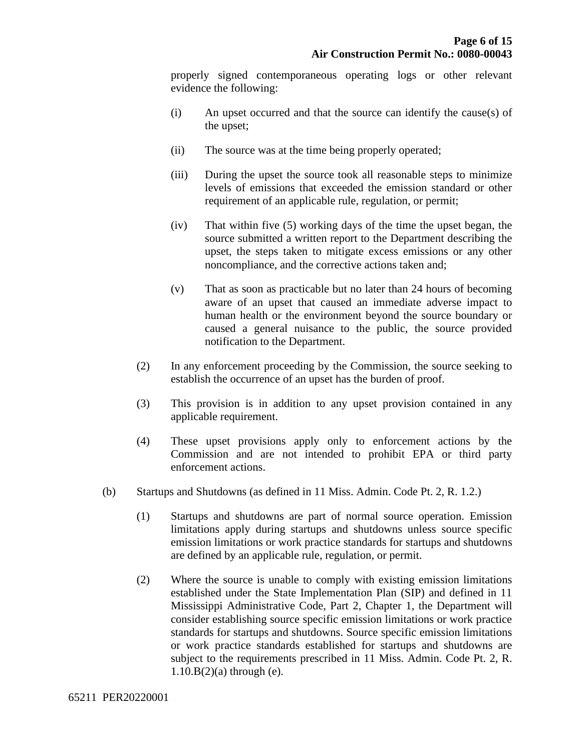properly signed contemporaneous operating logs or other relevant evidence the following:

- (i) An upset occurred and that the source can identify the cause(s) of the upset;
- (ii) The source was at the time being properly operated;
- (iii) During the upset the source took all reasonable steps to minimize levels of emissions that exceeded the emission standard or other requirement of an applicable rule, regulation, or permit;
- (iv) That within five (5) working days of the time the upset began, the source submitted a written report to the Department describing the upset, the steps taken to mitigate excess emissions or any other noncompliance, and the corrective actions taken and;
- (v) That as soon as practicable but no later than 24 hours of becoming aware of an upset that caused an immediate adverse impact to human health or the environment beyond the source boundary or caused a general nuisance to the public, the source provided notification to the Department.
- (2) In any enforcement proceeding by the Commission, the source seeking to establish the occurrence of an upset has the burden of proof.
- (3) This provision is in addition to any upset provision contained in any applicable requirement.
- (4) These upset provisions apply only to enforcement actions by the Commission and are not intended to prohibit EPA or third party enforcement actions.
- (b) Startups and Shutdowns (as defined in 11 Miss. Admin. Code Pt. 2, R. 1.2.)
	- (1) Startups and shutdowns are part of normal source operation. Emission limitations apply during startups and shutdowns unless source specific emission limitations or work practice standards for startups and shutdowns are defined by an applicable rule, regulation, or permit.
	- (2) Where the source is unable to comply with existing emission limitations established under the State Implementation Plan (SIP) and defined in 11 Mississippi Administrative Code, Part 2, Chapter 1, the Department will consider establishing source specific emission limitations or work practice standards for startups and shutdowns. Source specific emission limitations or work practice standards established for startups and shutdowns are subject to the requirements prescribed in 11 Miss. Admin. Code Pt. 2, R.  $1.10.B(2)$ (a) through (e).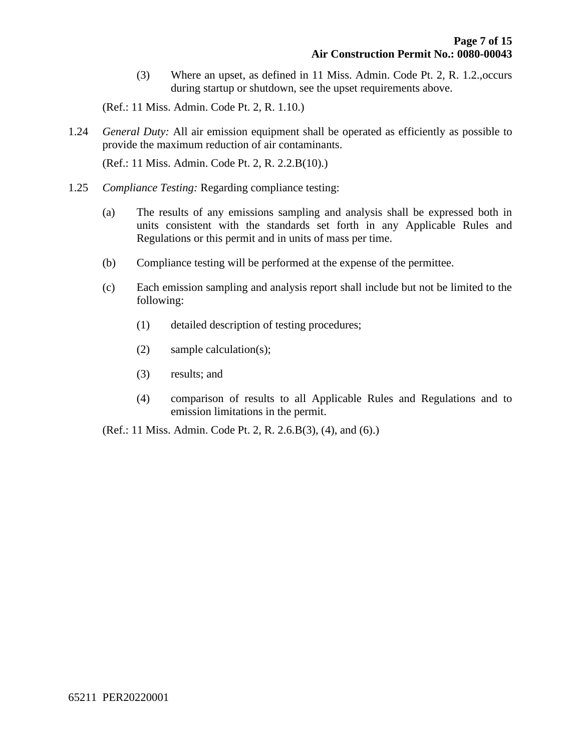(3) Where an upset, as defined in 11 Miss. Admin. Code Pt. 2, R. 1.2.,occurs during startup or shutdown, see the upset requirements above.

(Ref.: 11 Miss. Admin. Code Pt. 2, R. 1.10.)

1.24 *General Duty:* All air emission equipment shall be operated as efficiently as possible to provide the maximum reduction of air contaminants.

(Ref.: 11 Miss. Admin. Code Pt. 2, R. 2.2.B(10).)

- 1.25 *Compliance Testing:* Regarding compliance testing:
	- (a) The results of any emissions sampling and analysis shall be expressed both in units consistent with the standards set forth in any Applicable Rules and Regulations or this permit and in units of mass per time.
	- (b) Compliance testing will be performed at the expense of the permittee.
	- (c) Each emission sampling and analysis report shall include but not be limited to the following:
		- (1) detailed description of testing procedures;
		- (2) sample calculation(s);
		- (3) results; and
		- (4) comparison of results to all Applicable Rules and Regulations and to emission limitations in the permit.

(Ref.: 11 Miss. Admin. Code Pt. 2, R. 2.6.B(3), (4), and (6).)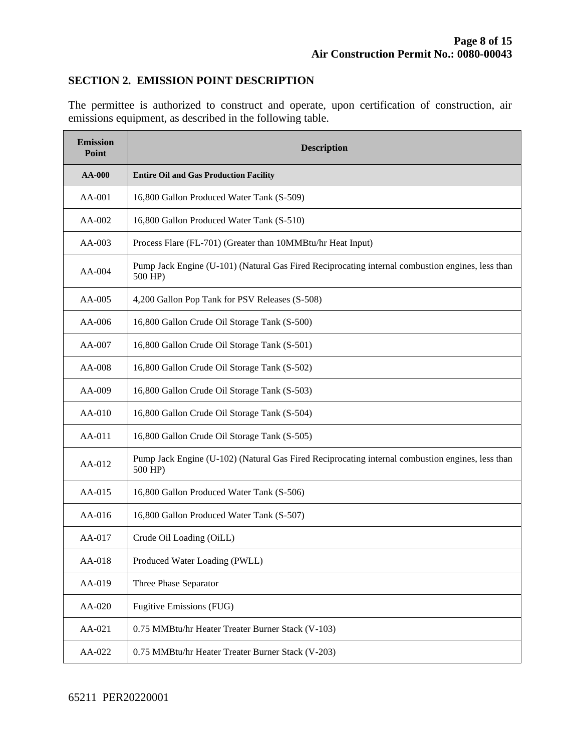#### **SECTION 2. EMISSION POINT DESCRIPTION**

The permittee is authorized to construct and operate, upon certification of construction, air emissions equipment, as described in the following table.

| <b>Emission</b><br>Point | <b>Description</b>                                                                                          |  |  |
|--------------------------|-------------------------------------------------------------------------------------------------------------|--|--|
| <b>AA-000</b>            | <b>Entire Oil and Gas Production Facility</b>                                                               |  |  |
| AA-001                   | 16,800 Gallon Produced Water Tank (S-509)                                                                   |  |  |
| AA-002                   | 16,800 Gallon Produced Water Tank (S-510)                                                                   |  |  |
| $AA-003$                 | Process Flare (FL-701) (Greater than 10MMBtu/hr Heat Input)                                                 |  |  |
| $AA-004$                 | Pump Jack Engine (U-101) (Natural Gas Fired Reciprocating internal combustion engines, less than<br>500 HP) |  |  |
| AA-005                   | 4,200 Gallon Pop Tank for PSV Releases (S-508)                                                              |  |  |
| AA-006                   | 16,800 Gallon Crude Oil Storage Tank (S-500)                                                                |  |  |
| AA-007                   | 16,800 Gallon Crude Oil Storage Tank (S-501)                                                                |  |  |
| AA-008                   | 16,800 Gallon Crude Oil Storage Tank (S-502)                                                                |  |  |
| AA-009                   | 16,800 Gallon Crude Oil Storage Tank (S-503)                                                                |  |  |
| AA-010                   | 16,800 Gallon Crude Oil Storage Tank (S-504)                                                                |  |  |
| AA-011                   | 16,800 Gallon Crude Oil Storage Tank (S-505)                                                                |  |  |
| AA-012                   | Pump Jack Engine (U-102) (Natural Gas Fired Reciprocating internal combustion engines, less than<br>500 HP) |  |  |
| AA-015                   | 16,800 Gallon Produced Water Tank (S-506)                                                                   |  |  |
| AA-016                   | 16,800 Gallon Produced Water Tank (S-507)                                                                   |  |  |
| AA-017                   | Crude Oil Loading (OiLL)                                                                                    |  |  |
| AA-018                   | Produced Water Loading (PWLL)                                                                               |  |  |
| AA-019                   | Three Phase Separator                                                                                       |  |  |
| AA-020                   | Fugitive Emissions (FUG)                                                                                    |  |  |
| AA-021                   | 0.75 MMBtu/hr Heater Treater Burner Stack (V-103)                                                           |  |  |
| AA-022                   | 0.75 MMBtu/hr Heater Treater Burner Stack (V-203)                                                           |  |  |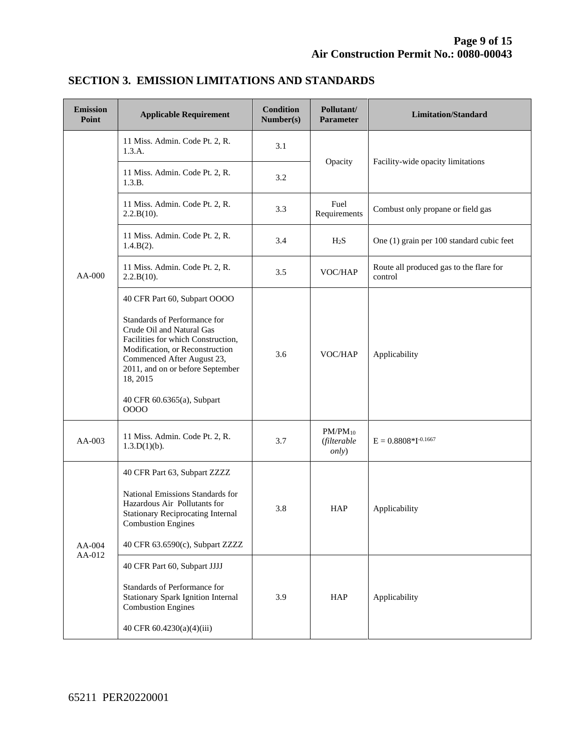| <b>Emission</b><br>Point | <b>Applicable Requirement</b>                                                                                                                                                                                                                                                          | <b>Condition</b><br>Number(s) | Pollutant/<br><b>Parameter</b>               | <b>Limitation/Standard</b>                         |
|--------------------------|----------------------------------------------------------------------------------------------------------------------------------------------------------------------------------------------------------------------------------------------------------------------------------------|-------------------------------|----------------------------------------------|----------------------------------------------------|
|                          | 11 Miss. Admin. Code Pt. 2, R.<br>1.3.A.                                                                                                                                                                                                                                               | 3.1                           | Opacity                                      | Facility-wide opacity limitations                  |
|                          | 11 Miss. Admin. Code Pt. 2, R.<br>1.3.B.                                                                                                                                                                                                                                               | 3.2                           |                                              |                                                    |
|                          | 11 Miss. Admin. Code Pt. 2, R.<br>2.2.B(10).                                                                                                                                                                                                                                           | 3.3                           | Fuel<br>Requirements                         | Combust only propane or field gas                  |
|                          | 11 Miss. Admin. Code Pt. 2, R.<br>$1.4.B(2)$ .                                                                                                                                                                                                                                         | 3.4                           | H <sub>2</sub> S                             | One (1) grain per 100 standard cubic feet          |
| AA-000                   | 11 Miss. Admin. Code Pt. 2, R.<br>2.2.B(10).                                                                                                                                                                                                                                           | 3.5                           | VOC/HAP                                      | Route all produced gas to the flare for<br>control |
|                          | 40 CFR Part 60, Subpart OOOO<br>Standards of Performance for<br>Crude Oil and Natural Gas<br>Facilities for which Construction,<br>Modification, or Reconstruction<br>Commenced After August 23,<br>2011, and on or before September<br>18, 2015<br>40 CFR 60.6365(a), Subpart<br>0000 | 3.6                           | VOC/HAP                                      | Applicability                                      |
| AA-003                   | 11 Miss. Admin. Code Pt. 2, R.<br>$1.3.D(1)(b)$ .                                                                                                                                                                                                                                      | 3.7                           | $PM/PM_{10}$<br>(filterable<br><i>only</i> ) | $E = 0.8808 * I^{-0.1667}$                         |
| AA-004<br>AA-012         | 40 CFR Part 63, Subpart ZZZZ<br>National Emissions Standards for<br>Hazardous Air Pollutants for<br><b>Stationary Reciprocating Internal</b><br><b>Combustion Engines</b><br>40 CFR 63.6590(c), Subpart ZZZZ                                                                           | 3.8                           | <b>HAP</b>                                   | Applicability                                      |
|                          | 40 CFR Part 60, Subpart JJJJ<br>Standards of Performance for<br>Stationary Spark Ignition Internal<br><b>Combustion Engines</b><br>40 CFR 60.4230(a)(4)(iii)                                                                                                                           | 3.9                           | <b>HAP</b>                                   | Applicability                                      |

## **SECTION 3. EMISSION LIMITATIONS AND STANDARDS**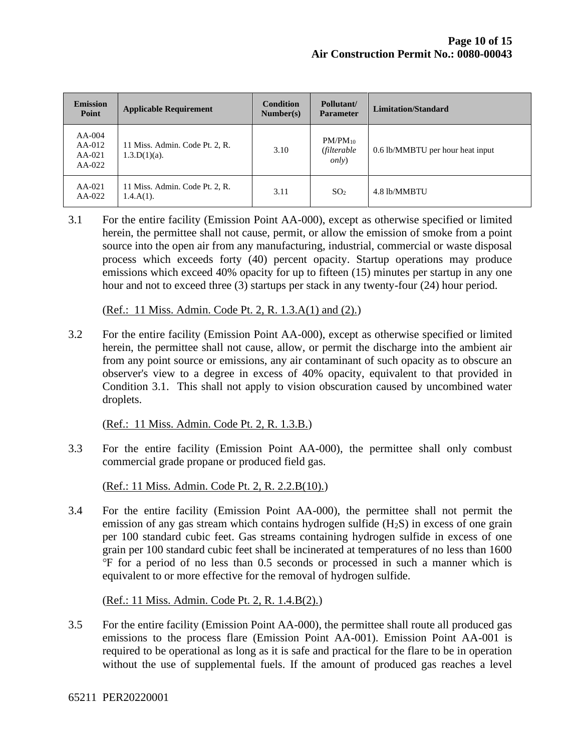| <b>Emission</b><br>Point                   | <b>Applicable Requirement</b>                     | <b>Condition</b><br>Number(s) | Pollutant/<br><b>Parameter</b>               | Limitation/Standard              |
|--------------------------------------------|---------------------------------------------------|-------------------------------|----------------------------------------------|----------------------------------|
| $AA-004$<br>$AA-012$<br>$AA-021$<br>AA-022 | 11 Miss. Admin. Code Pt. 2, R.<br>$1.3.D(1)(a)$ . | 3.10                          | $PM/PM_{10}$<br>(filterable<br><i>only</i> ) | 0.6 lb/MMBTU per hour heat input |
| $AA-021$<br>$AA-022$                       | 11 Miss. Admin. Code Pt. 2, R.<br>$1.4.A(1)$ .    | 3.11                          | SO <sub>2</sub>                              | 4.8 lb/MMBTU                     |

3.1 For the entire facility (Emission Point AA-000), except as otherwise specified or limited herein, the permittee shall not cause, permit, or allow the emission of smoke from a point source into the open air from any manufacturing, industrial, commercial or waste disposal process which exceeds forty (40) percent opacity. Startup operations may produce emissions which exceed 40% opacity for up to fifteen (15) minutes per startup in any one hour and not to exceed three (3) startups per stack in any twenty-four (24) hour period.

(Ref.: 11 Miss. Admin. Code Pt. 2, R. 1.3.A(1) and (2).)

3.2 For the entire facility (Emission Point AA-000), except as otherwise specified or limited herein, the permittee shall not cause, allow, or permit the discharge into the ambient air from any point source or emissions, any air contaminant of such opacity as to obscure an observer's view to a degree in excess of 40% opacity, equivalent to that provided in Condition 3.1. This shall not apply to vision obscuration caused by uncombined water droplets.

(Ref.: 11 Miss. Admin. Code Pt. 2, R. 1.3.B.)

3.3 For the entire facility (Emission Point AA-000), the permittee shall only combust commercial grade propane or produced field gas.

(Ref.: 11 Miss. Admin. Code Pt. 2, R. 2.2.B(10).)

3.4 For the entire facility (Emission Point AA-000), the permittee shall not permit the emission of any gas stream which contains hydrogen sulfide  $(H_2S)$  in excess of one grain per 100 standard cubic feet. Gas streams containing hydrogen sulfide in excess of one grain per 100 standard cubic feet shall be incinerated at temperatures of no less than 1600 ℉ for a period of no less than 0.5 seconds or processed in such a manner which is equivalent to or more effective for the removal of hydrogen sulfide.

(Ref.: 11 Miss. Admin. Code Pt. 2, R. 1.4.B(2).)

3.5 For the entire facility (Emission Point AA-000), the permittee shall route all produced gas emissions to the process flare (Emission Point AA-001). Emission Point AA-001 is required to be operational as long as it is safe and practical for the flare to be in operation without the use of supplemental fuels. If the amount of produced gas reaches a level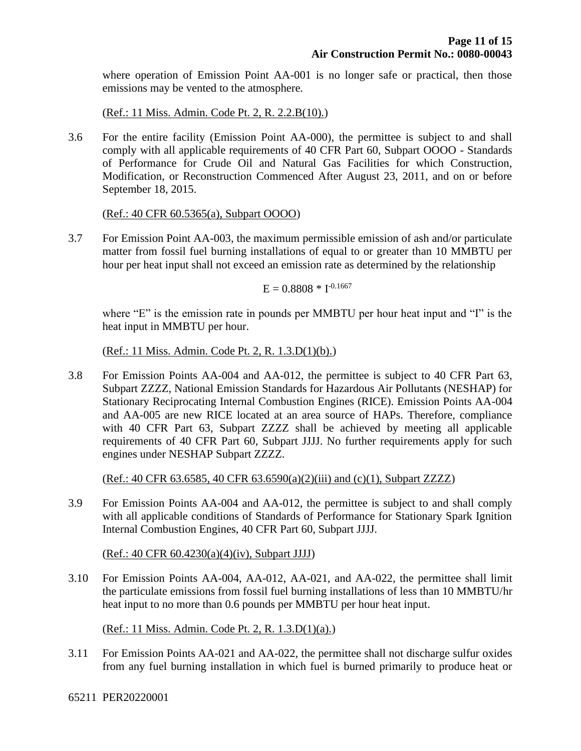where operation of Emission Point AA-001 is no longer safe or practical, then those emissions may be vented to the atmosphere.

(Ref.: 11 Miss. Admin. Code Pt. 2, R. 2.2.B(10).)

3.6 For the entire facility (Emission Point AA-000), the permittee is subject to and shall comply with all applicable requirements of 40 CFR Part 60, Subpart OOOO - Standards of Performance for Crude Oil and Natural Gas Facilities for which Construction, Modification, or Reconstruction Commenced After August 23, 2011, and on or before September 18, 2015.

#### (Ref.: 40 CFR 60.5365(a), Subpart OOOO)

3.7 For Emission Point AA-003, the maximum permissible emission of ash and/or particulate matter from fossil fuel burning installations of equal to or greater than 10 MMBTU per hour per heat input shall not exceed an emission rate as determined by the relationship

 $E = 0.8808 * I^{-0.1667}$ 

where "E" is the emission rate in pounds per MMBTU per hour heat input and "I" is the heat input in MMBTU per hour.

(Ref.: 11 Miss. Admin. Code Pt. 2, R. 1.3.D(1)(b).)

3.8 For Emission Points AA-004 and AA-012, the permittee is subject to 40 CFR Part 63, Subpart ZZZZ, National Emission Standards for Hazardous Air Pollutants (NESHAP) for Stationary Reciprocating Internal Combustion Engines (RICE). Emission Points AA-004 and AA-005 are new RICE located at an area source of HAPs. Therefore, compliance with 40 CFR Part 63, Subpart ZZZZ shall be achieved by meeting all applicable requirements of 40 CFR Part 60, Subpart JJJJ. No further requirements apply for such engines under NESHAP Subpart ZZZZ.

(Ref.: 40 CFR 63.6585, 40 CFR 63.6590(a)(2)(iii) and (c)(1), Subpart ZZZZ)

3.9 For Emission Points AA-004 and AA-012, the permittee is subject to and shall comply with all applicable conditions of Standards of Performance for Stationary Spark Ignition Internal Combustion Engines, 40 CFR Part 60, Subpart JJJJ.

(Ref.: 40 CFR 60.4230(a)(4)(iv), Subpart JJJJ)

3.10 For Emission Points AA-004, AA-012, AA-021, and AA-022, the permittee shall limit the particulate emissions from fossil fuel burning installations of less than 10 MMBTU/hr heat input to no more than 0.6 pounds per MMBTU per hour heat input.

(Ref.: 11 Miss. Admin. Code Pt. 2, R. 1.3.D(1)(a).)

3.11 For Emission Points AA-021 and AA-022, the permittee shall not discharge sulfur oxides from any fuel burning installation in which fuel is burned primarily to produce heat or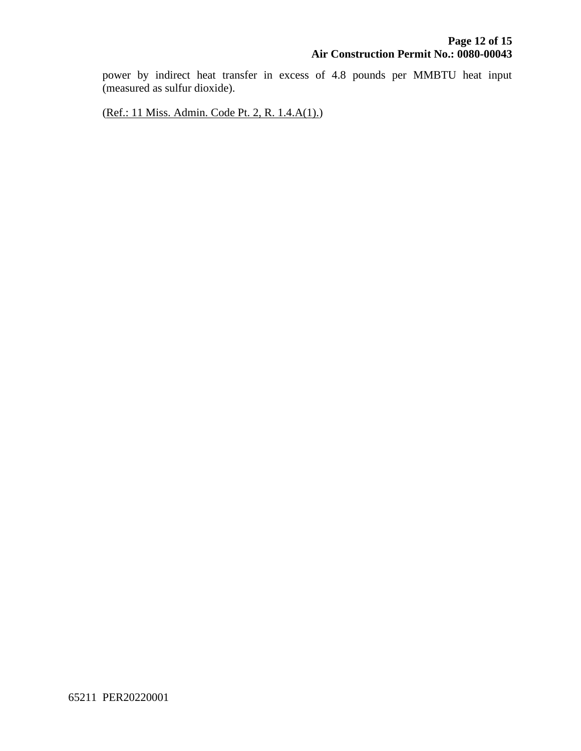power by indirect heat transfer in excess of 4.8 pounds per MMBTU heat input (measured as sulfur dioxide).

(Ref.: 11 Miss. Admin. Code Pt. 2, R. 1.4.A(1).)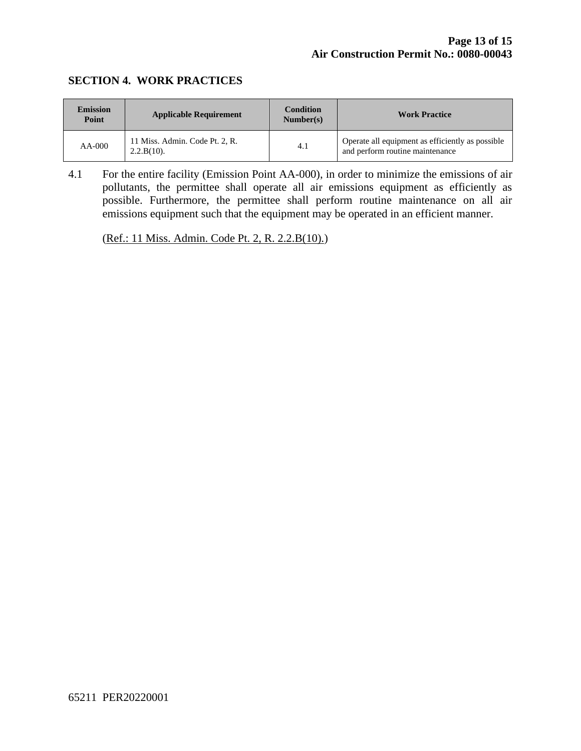#### **SECTION 4. WORK PRACTICES**

| <b>Emission</b><br>Point | <b>Applicable Requirement</b>                   | <b>Condition</b><br>Number(s) | <b>Work Practice</b>                                                                |
|--------------------------|-------------------------------------------------|-------------------------------|-------------------------------------------------------------------------------------|
| $AA-000$                 | 11 Miss. Admin. Code Pt. 2, R.<br>$2.2.B(10)$ . | 4.1                           | Operate all equipment as efficiently as possible<br>and perform routine maintenance |

4.1 For the entire facility (Emission Point AA-000), in order to minimize the emissions of air pollutants, the permittee shall operate all air emissions equipment as efficiently as possible. Furthermore, the permittee shall perform routine maintenance on all air emissions equipment such that the equipment may be operated in an efficient manner.

(Ref.: 11 Miss. Admin. Code Pt. 2, R. 2.2.B(10).)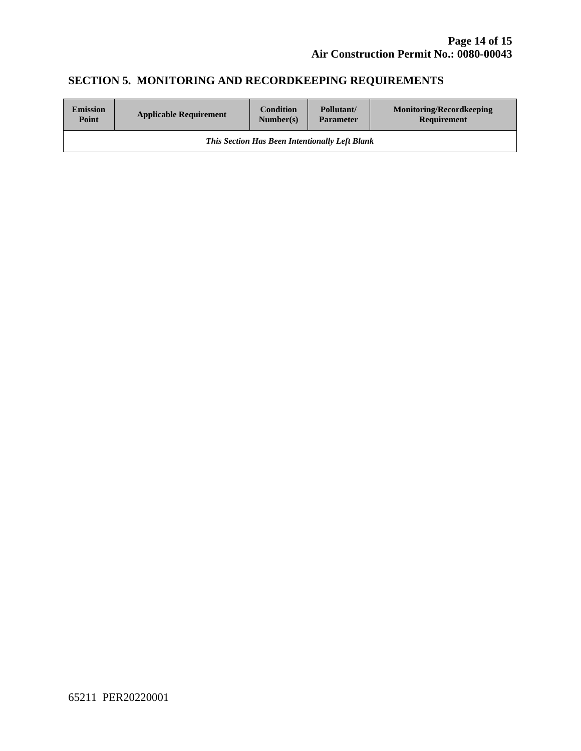# **SECTION 5. MONITORING AND RECORDKEEPING REQUIREMENTS**

| <b>Emission</b>                                       | <b>Applicable Requirement</b> | <b>Condition</b> | Pollutant/       | <b>Monitoring/Recordkeeping</b> |  |
|-------------------------------------------------------|-------------------------------|------------------|------------------|---------------------------------|--|
| Point                                                 |                               | Number(s)        | <b>Parameter</b> | Requirement                     |  |
| <b>This Section Has Been Intentionally Left Blank</b> |                               |                  |                  |                                 |  |